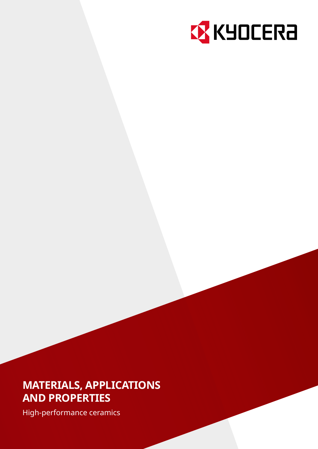

# **MATERIALS, APPLICATIONS AND PROPERTIES**

High-performance ceramics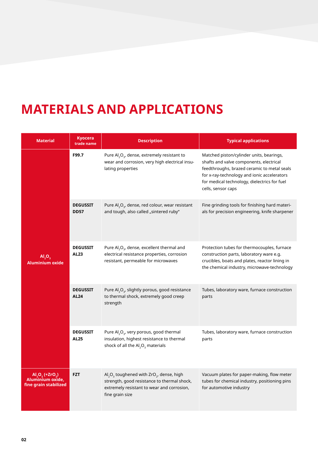# **MATERIALS AND APPLICATIONS**

| <b>Material</b>                                                                                                       | <b>Kyocera</b><br>trade name   | <b>Description</b>                                                                                                                                                                    | <b>Typical applications</b>                                                                                                                                                                                                                             |  |
|-----------------------------------------------------------------------------------------------------------------------|--------------------------------|---------------------------------------------------------------------------------------------------------------------------------------------------------------------------------------|---------------------------------------------------------------------------------------------------------------------------------------------------------------------------------------------------------------------------------------------------------|--|
| F99.7                                                                                                                 |                                | Pure $\mathsf{Al}_2\mathsf{O}_{3}$ , dense, extremely resistant to<br>wear and corrosion, very high electrical insu-<br>lating properties                                             | Matched piston/cylinder units, bearings,<br>shafts and valve components, electrical<br>feedthroughs, brazed ceramic to metal seals<br>for x-ray-technology and ionic accelerators<br>for medical technology, dielectrics for fuel<br>cells, sensor caps |  |
|                                                                                                                       | <b>DEGUSSIT</b><br><b>DD57</b> | Pure Al <sub>2</sub> O <sub>3</sub> , dense, red colour, wear resistant<br>and tough, also called "sintered ruby"                                                                     | Fine grinding tools for finishing hard materi-<br>als for precision engineering, knife sharpener                                                                                                                                                        |  |
| <b>DEGUSSIT</b><br>AL23<br>AI <sub>2</sub> O <sub>3</sub><br><b>Aluminium oxide</b><br><b>DEGUSSIT</b><br><b>AL24</b> |                                | Pure $AI2O3$ , dense, excellent thermal and<br>electrical resistance properties, corrosion<br>resistant, permeable for microwaves                                                     | Protection tubes for thermocouples, furnace<br>construction parts, laboratory ware e.g.<br>crucibles, boats and plates, reactor lining in<br>the chemical industry, microwave-technology                                                                |  |
|                                                                                                                       |                                | Pure Al <sub>2</sub> O <sub>3</sub> , slightly porous, good resistance<br>to thermal shock, extremely good creep<br>strength                                                          | Tubes, laboratory ware, furnace construction<br>parts                                                                                                                                                                                                   |  |
|                                                                                                                       | <b>DEGUSSIT</b><br><b>AL25</b> | Pure Al <sub>2</sub> O <sub>3</sub> , very porous, good thermal<br>insulation, highest resistance to thermal<br>shock of all the $\mathsf{Al}_2\mathsf{O}_3$ materials                | Tubes, laboratory ware, furnace construction<br>parts                                                                                                                                                                                                   |  |
| $AI, O, (+ZrO, )$<br>Aluminium oxide,<br>fine grain stabilized                                                        | <b>FZT</b>                     | $\text{Al}_2\text{O}_3$ toughened with ZrO <sub>2</sub> , dense, high<br>strength, good resistance to thermal shock,<br>extremely resistant to wear and corrosion,<br>fine grain size | Vacuum plates for paper-making, flow meter<br>tubes for chemical industry, positioning pins<br>for automotive industry                                                                                                                                  |  |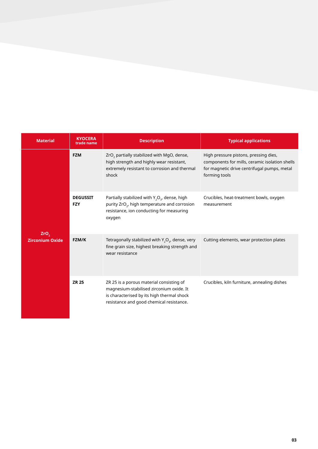| <b>Material</b>        | <b>KYOCERA</b><br>trade name                                                                                                                                              | <b>Description</b>                                                                                                                                                             | <b>Typical applications</b>                                                                                                                             |
|------------------------|---------------------------------------------------------------------------------------------------------------------------------------------------------------------------|--------------------------------------------------------------------------------------------------------------------------------------------------------------------------------|---------------------------------------------------------------------------------------------------------------------------------------------------------|
|                        | <b>FZM</b><br>ZrO <sub>2</sub> partially stabilized with MgO, dense,<br>high strength and highly wear resistant,<br>extremely resistant to corrosion and thermal<br>shock |                                                                                                                                                                                | High pressure pistons, pressing dies,<br>components for mills, ceramic isolation shells<br>for magnetic drive centrifugal pumps, metal<br>forming tools |
| ZrO <sub>2</sub>       | <b>DEGUSSIT</b><br><b>FZY</b>                                                                                                                                             | Partially stabilized with $Y_2O_{3}$ , dense, high<br>purity ZrO <sub>2</sub> , high temperature and corrosion<br>resistance, ion conducting for measuring<br>oxygen           | Crucibles, heat-treatment bowls, oxygen<br>measurement                                                                                                  |
| <b>Zirconium Oxide</b> | FZM/K                                                                                                                                                                     | Tetragonally stabilized with $Y_2O_3$ , dense, very<br>fine grain size, highest breaking strength and<br>wear resistance                                                       | Cutting elements, wear protection plates                                                                                                                |
|                        | <b>ZR 25</b>                                                                                                                                                              | ZR 25 is a porous material consisting of<br>magnesium-stabilised zirconium oxide. It<br>is characterised by its high thermal shock<br>resistance and good chemical resistance. | Crucibles, kiln furniture, annealing dishes                                                                                                             |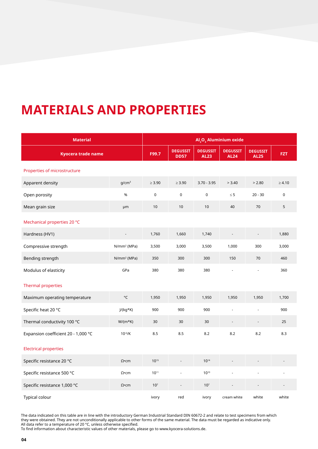# **MATERIALS AND PROPERTIES**

| <b>Material</b>                     | Al <sub>2</sub> O <sub>3</sub> Aluminium oxide |                 |                                |                                |                                |                                |             |
|-------------------------------------|------------------------------------------------|-----------------|--------------------------------|--------------------------------|--------------------------------|--------------------------------|-------------|
| <b>Kyocera trade name</b>           |                                                | F99.7           | <b>DEGUSSIT</b><br><b>DD57</b> | <b>DEGUSSIT</b><br><b>AL23</b> | <b>DEGUSSIT</b><br><b>AL24</b> | <b>DEGUSSIT</b><br><b>AL25</b> | <b>FZT</b>  |
| Properties of microstructure        |                                                |                 |                                |                                |                                |                                |             |
| Apparent density                    | q/cm <sup>3</sup>                              | $\geq 3.90$     | $\geq 3.90$                    | $3.70 - 3.95$                  | > 3.40                         | > 2.80                         | $\geq 4.10$ |
| Open porosity                       | %                                              | $\mathsf 0$     | $\mathsf 0$                    | $\pmb{0}$                      | $\leq 5$                       | $20 - 30$                      | $\mathbf 0$ |
| Mean grain size                     | μm                                             | 10              | 10                             | 10                             | 40                             | 70                             | $\mathsf S$ |
| Mechanical properties 20 °C         |                                                |                 |                                |                                |                                |                                |             |
| Hardness (HV1)                      |                                                | 1,760           | 1,660                          | 1,740                          | $\qquad \qquad \blacksquare$   | ÷,                             | 1,880       |
| Compressive strength                | $N/mm^2$ (MPa)                                 | 3,500           | 3,000                          | 3,500                          | 1,000                          | 300                            | 3,000       |
| Bending strength                    | $N/mm^2 (MPa)$                                 | 350             | 300                            | 300                            | 150                            | 70                             | 460         |
| Modulus of elasticity               | GPa                                            | 380             | 380                            | 380                            |                                | ä,                             | 360         |
| <b>Thermal properties</b>           |                                                |                 |                                |                                |                                |                                |             |
| Maximum operating temperature       | °C                                             | 1,950           | 1,950                          | 1,950                          | 1,950                          | 1,950                          | 1,700       |
| Specific heat 20 °C                 | $J/(kg*K)$                                     | 900             | 900                            | 900                            | ÷,                             | L,                             | 900         |
| Thermal conductivity 100 °C         | $W/(m*K)$                                      | 30              | 30                             | 30                             |                                |                                | 25          |
| Expansion coefficient 20 - 1,000 °C | $10^{-6}$ /K                                   | 8.5             | 8.5                            | 8.2                            | 8.2                            | 8.2                            | 8.3         |
| <b>Electrical properties</b>        |                                                |                 |                                |                                |                                |                                |             |
| Specific resistance 20 °C           | $\Omega$ •cm                                   | $10^{15}$       |                                | $10^{14}$                      |                                |                                |             |
| Specific resistance 500 °C          | $\Omega$ •cm                                   | $10^{11}$       |                                | $10^{10}$                      |                                |                                |             |
| Specific resistance 1,000 °C        | $\Omega$ •cm                                   | 10 <sup>7</sup> | $\overline{a}$                 | 10 <sup>7</sup>                |                                |                                |             |
| Typical colour                      |                                                | ivory           | red                            | ivory                          | cream white                    | white                          | white       |

The data indicated on this table are in line with the introductory German Industrial Standard DIN 60672-2 and relate to test specimens from which they were obtained. They are not unconditionally applicable to other forms of the same material. The data must be regarded as indicative only. All data refer to a temperature of 20 °C, unless otherwise specified.

To find information about characteristic values of other materials, please go to [www.kyocera-solutions.de.](http://www.kyocera-solutions.de)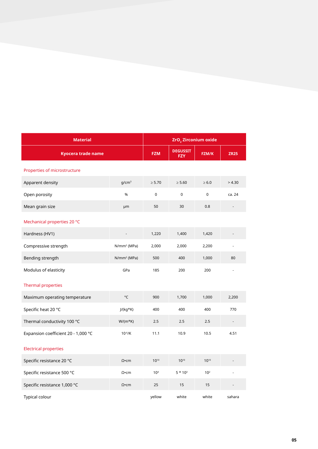| <b>Material</b>                     | ZrO <sub>2</sub> Zirconium oxide |                               |             |                 |        |
|-------------------------------------|----------------------------------|-------------------------------|-------------|-----------------|--------|
| <b>Kyocera trade name</b>           | <b>FZM</b>                       | <b>DEGUSSIT</b><br><b>FZY</b> | FZM/K       | <b>ZR25</b>     |        |
| Properties of microstructure        |                                  |                               |             |                 |        |
| Apparent density                    | q/cm <sup>3</sup>                | $\geq 5.70$                   | $\geq 5.60$ | $\geq 6.0$      | > 4.30 |
| Open porosity                       | %                                | $\mathbf 0$                   | $\mathbf 0$ | $\mathbf 0$     | ca. 24 |
| Mean grain size                     | μm                               | 50                            | 30          | 0.8             |        |
| Mechanical properties 20 °C         |                                  |                               |             |                 |        |
| Hardness (HV1)                      |                                  | 1,220                         | 1,400       | 1,420           |        |
| Compressive strength                | $N/mm^2$ (MPa)                   | 2,000                         | 2,000       | 2,200           |        |
| Bending strength                    | $N/mm^2$ (MPa)                   | 500                           | 400         | 1,000           | 80     |
| Modulus of elasticity               | GPa                              | 185                           | 200         | 200             |        |
| <b>Thermal properties</b>           |                                  |                               |             |                 |        |
| Maximum operating temperature       | °C                               | 900                           | 1,700       | 1,000           | 2,200  |
| Specific heat 20 °C                 | $J/(kg*K)$                       | 400                           | 400         | 400             | 770    |
| Thermal conductivity 100 °C         | $W/(m*K)$                        | 2.5                           | 2.5         | 2.5             |        |
| Expansion coefficient 20 - 1,000 °C | $10^{-6}$ /K                     | 11.1                          | 10.9        | 10.5            | 4.51   |
| <b>Electrical properties</b>        |                                  |                               |             |                 |        |
| Specific resistance 20 °C           | $\Omega$ •cm                     | $10^{10}$                     | $10^{10}$   | 1010            |        |
| Specific resistance 500 °C          | $\Omega$ •cm                     | 10 <sup>4</sup>               | $5 * 103$   | 10 <sup>2</sup> |        |
| Specific resistance 1,000 °C        | $\Omega$ •cm                     | 25                            | 15          | 15              |        |
| <b>Typical colour</b>               |                                  | yellow                        | white       | white           | sahara |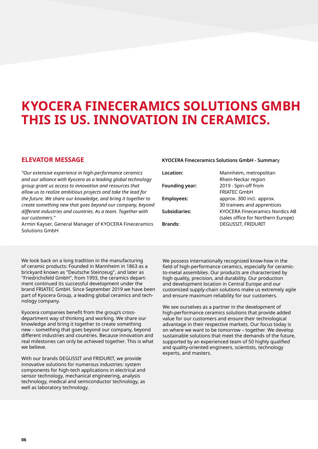# **KYOCERA FINECERAMICS SOLUTIONS GMBH THIS IS US. INNOVATION IN CERAMICS.**

## **ELEVATOR MESSAGE**

*"Our extensive experience in high-performance ceramics and our alliance with Kyocera as a leading global technology group grant us access to innovation and resources that allow us to realize ambitious projects and take the lead for the future. We share our knowledge, and bring it together to create something new that goes beyond our company, beyond different industries and countries. As a team. Together with our customers."*

Armin Kayser, General Manager of KYOCERA Fineceramics Solutions GmbH

#### We look back on a long tradition in the manufacturing of ceramic products: Founded in Mannheim in 1863 as a brickyard known as "Deutsche Steinzeug", and later as "Friedrichsfeld GmbH", from 1993, the ceramics department continued its successful development under the brand FRIATEC GmbH. Since September 2019 we have been part of Kyocera Group, a leading global ceramics and technology company.

Kyocera companies benefit from the group's crossdepartment way of thinking and working. We share our knowledge and bring it together to create something new – something that goes beyond our company, beyond different industries and countries. Because innovation and real milestones can only be achieved together. This is what we believe.

With our brands DEGUSSIT and FRIDURIT, we provide innovative solutions for numerous industries: system components for high-tech applications in electrical and sensor technology, mechanical engineering, analysis technology, medical and semiconductor technology, as well as laboratory technology.

#### **KYOCERA Fineceramics Solutions GmbH - Summar**y

| Location:             | Mannheim, metropolitan                 |
|-----------------------|----------------------------------------|
|                       | Rhein-Neckar region                    |
| <b>Founding year:</b> | 2019 - Spin-off from                   |
|                       | <b>FRIATEC GmbH</b>                    |
| <b>Employees:</b>     | approx. 300 incl. approx.              |
|                       | 30 trainees and apprentices            |
| <b>Subsidiaries:</b>  | <b>KYOCERA Fineceramics Nordics AB</b> |
|                       | (sales office for Northern Europe)     |
| <b>Brands:</b>        | <b>DEGUSSIT, FRIDURIT</b>              |
|                       |                                        |

We possess internationally recognized know-how in the field of high-performance ceramics, especially for ceramicto-metal assemblies. Our products are characterized by high quality, precision, and durability. Our production and development location in Central Europe and our customized supply-chain solutions make us extremely agile and ensure maximum reliability for our customers.

We see ourselves as a partner in the development of high-performance ceramics solutions that provide added value for our customers and ensure their technological advantage in their respective markets. Our focus today is on where we want to be tomorrow – together. We develop sustainable solutions that meet the demands of the future, supported by an experienced team of 50 highly qualified and quality-oriented engineers, scientists, technology experts, and masters.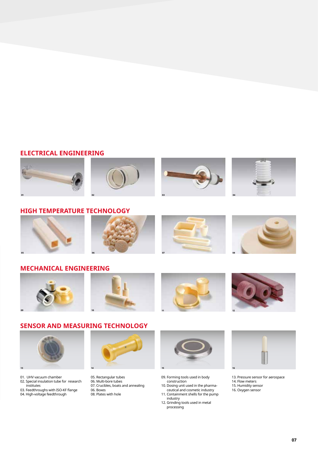# **ELECTRICAL ENGINEERING**



# **HIGH TEMPERATURE TECHNOLOGY**



### **MECHANICAL ENGINEERING**



# **SENSOR AND MEASURING TECHNOLOGY**



- 01. UHV vacuum chamber 02. Special insulation tube for research
- institutes 03. Feedthroughs with ISO-KF flange
- 04. High-voltage feedthrough



- 05. Rectangular tubes 06. Multi-bore tubes
- 07. Crucibles, boats and annealing
- 06. Boxes
- 08. Plates with hole



- 09. Forming tools used in body construction
- 10. Dosing unit used in the pharma ceutical and cosmetic industry
- 11. Containment shells for the pump industry
- 12. Grinding tools used in metal processing



- 13. Pressure sensor for aerospace
- 14. Flow meters
- 15. Humidity sensor
- 16. Oxygen sensor